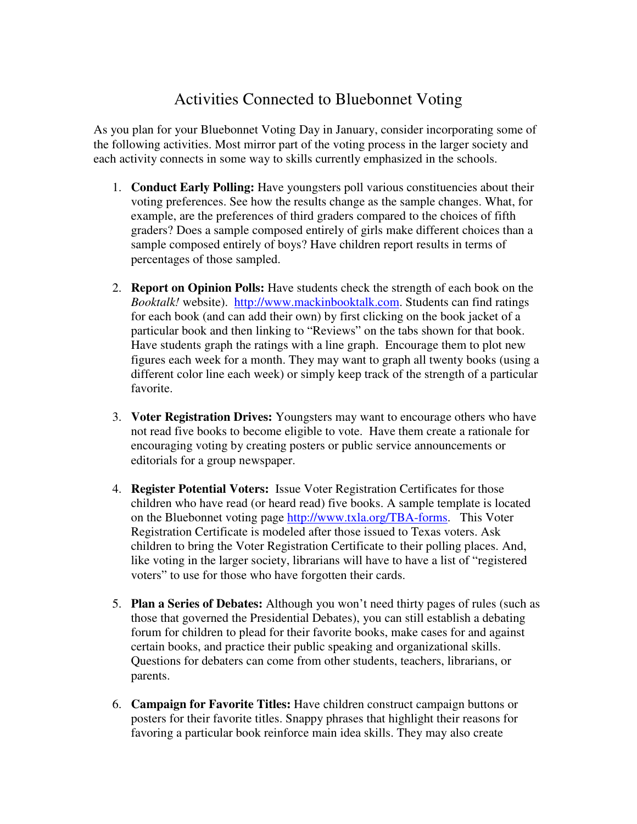## Activities Connected to Bluebonnet Voting

As you plan for your Bluebonnet Voting Day in January, consider incorporating some of the following activities. Most mirror part of the voting process in the larger society and each activity connects in some way to skills currently emphasized in the schools.

- 1. **Conduct Early Polling:** Have youngsters poll various constituencies about their voting preferences. See how the results change as the sample changes. What, for example, are the preferences of third graders compared to the choices of fifth graders? Does a sample composed entirely of girls make different choices than a sample composed entirely of boys? Have children report results in terms of percentages of those sampled.
- 2. **Report on Opinion Polls:** Have students check the strength of each book on the *Booktalk!* website). http://www.mackinbooktalk.com. Students can find ratings for each book (and can add their own) by first clicking on the book jacket of a particular book and then linking to "Reviews" on the tabs shown for that book. Have students graph the ratings with a line graph. Encourage them to plot new figures each week for a month. They may want to graph all twenty books (using a different color line each week) or simply keep track of the strength of a particular favorite.
- 3. **Voter Registration Drives:** Youngsters may want to encourage others who have not read five books to become eligible to vote. Have them create a rationale for encouraging voting by creating posters or public service announcements or editorials for a group newspaper.
- 4. **Register Potential Voters:** Issue Voter Registration Certificates for those children who have read (or heard read) five books. A sample template is located on the Bluebonnet voting page http://www.txla.org/TBA-forms. This Voter Registration Certificate is modeled after those issued to Texas voters. Ask children to bring the Voter Registration Certificate to their polling places. And, like voting in the larger society, librarians will have to have a list of "registered voters" to use for those who have forgotten their cards.
- 5. **Plan a Series of Debates:** Although you won't need thirty pages of rules (such as those that governed the Presidential Debates), you can still establish a debating forum for children to plead for their favorite books, make cases for and against certain books, and practice their public speaking and organizational skills. Questions for debaters can come from other students, teachers, librarians, or parents.
- 6. **Campaign for Favorite Titles:** Have children construct campaign buttons or posters for their favorite titles. Snappy phrases that highlight their reasons for favoring a particular book reinforce main idea skills. They may also create